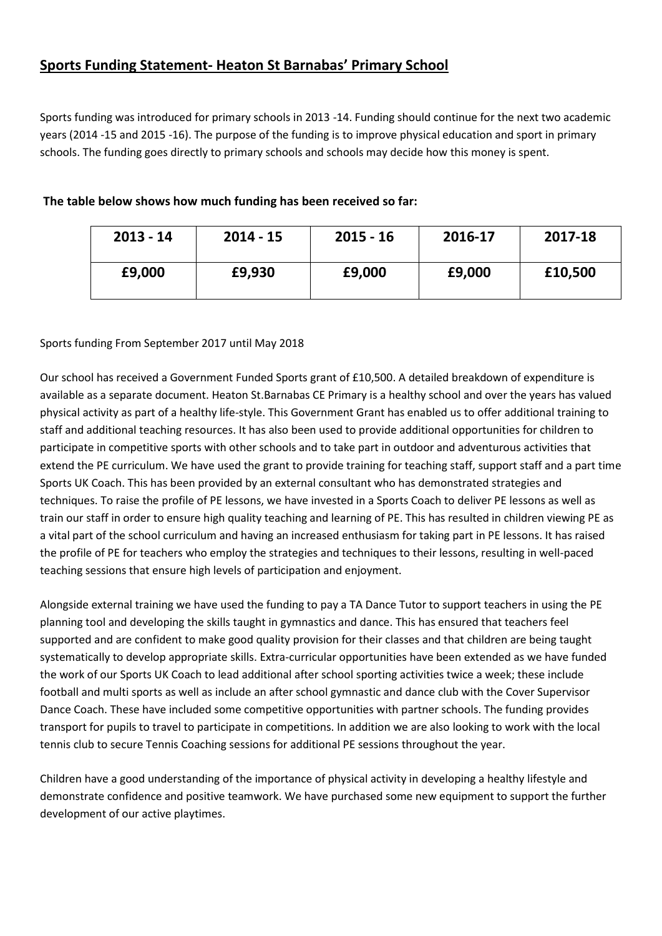# **Sports Funding Statement- Heaton St Barnabas' Primary School**

Sports funding was introduced for primary schools in 2013 -14. Funding should continue for the next two academic years (2014 -15 and 2015 -16). The purpose of the funding is to improve physical education and sport in primary schools. The funding goes directly to primary schools and schools may decide how this money is spent.

# **The table below shows how much funding has been received so far:**

| $2013 - 14$ | $2014 - 15$ | $2015 - 16$ | 2016-17 | 2017-18 |
|-------------|-------------|-------------|---------|---------|
| £9,000      | £9,930      | £9,000      | £9,000  | £10,500 |

# Sports funding From September 2017 until May 2018

Our school has received a Government Funded Sports grant of £10,500. A detailed breakdown of expenditure is available as a separate document. Heaton St.Barnabas CE Primary is a healthy school and over the years has valued physical activity as part of a healthy life-style. This Government Grant has enabled us to offer additional training to staff and additional teaching resources. It has also been used to provide additional opportunities for children to participate in competitive sports with other schools and to take part in outdoor and adventurous activities that extend the PE curriculum. We have used the grant to provide training for teaching staff, support staff and a part time Sports UK Coach. This has been provided by an external consultant who has demonstrated strategies and techniques. To raise the profile of PE lessons, we have invested in a Sports Coach to deliver PE lessons as well as train our staff in order to ensure high quality teaching and learning of PE. This has resulted in children viewing PE as a vital part of the school curriculum and having an increased enthusiasm for taking part in PE lessons. It has raised the profile of PE for teachers who employ the strategies and techniques to their lessons, resulting in well-paced teaching sessions that ensure high levels of participation and enjoyment.

Alongside external training we have used the funding to pay a TA Dance Tutor to support teachers in using the PE planning tool and developing the skills taught in gymnastics and dance. This has ensured that teachers feel supported and are confident to make good quality provision for their classes and that children are being taught systematically to develop appropriate skills. Extra-curricular opportunities have been extended as we have funded the work of our Sports UK Coach to lead additional after school sporting activities twice a week; these include football and multi sports as well as include an after school gymnastic and dance club with the Cover Supervisor Dance Coach. These have included some competitive opportunities with partner schools. The funding provides transport for pupils to travel to participate in competitions. In addition we are also looking to work with the local tennis club to secure Tennis Coaching sessions for additional PE sessions throughout the year.

Children have a good understanding of the importance of physical activity in developing a healthy lifestyle and demonstrate confidence and positive teamwork. We have purchased some new equipment to support the further development of our active playtimes.